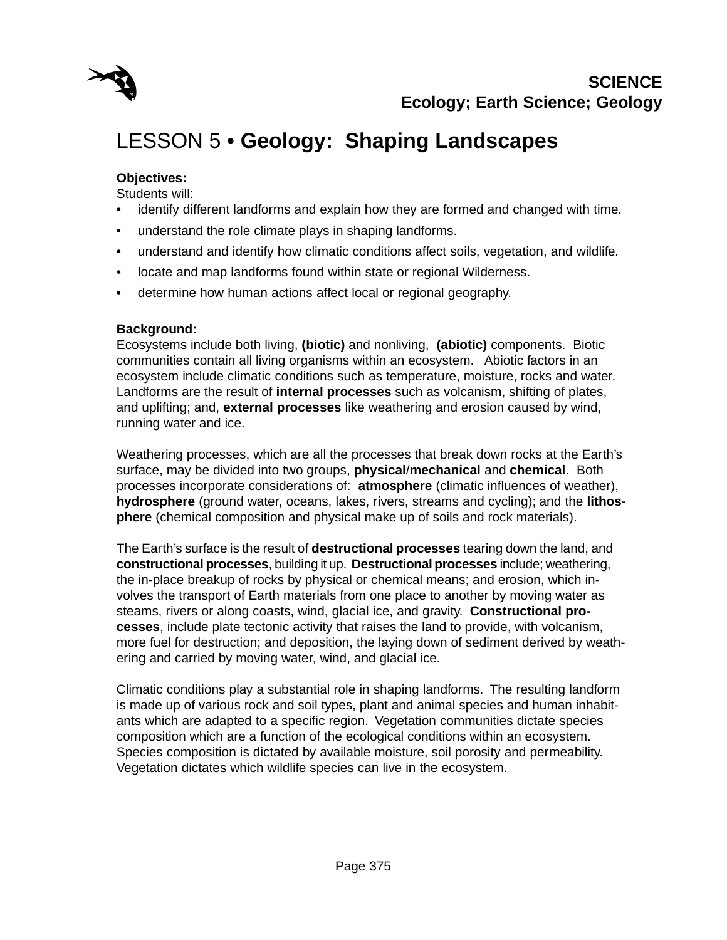

# LESSON 5 • **Geology: Shaping Landscapes**

#### **Objectives:**

Students will:

- identify different landforms and explain how they are formed and changed with time.
- understand the role climate plays in shaping landforms.
- understand and identify how climatic conditions affect soils, vegetation, and wildlife.
- locate and map landforms found within state or regional Wilderness.
- determine how human actions affect local or regional geography.

#### **Background:**

Ecosystems include both living, **(biotic)** and nonliving, **(abiotic)** components. Biotic communities contain all living organisms within an ecosystem. Abiotic factors in an ecosystem include climatic conditions such as temperature, moisture, rocks and water. Landforms are the result of **internal processes** such as volcanism, shifting of plates, and uplifting; and, **external processes** like weathering and erosion caused by wind, running water and ice.

Weathering processes, which are all the processes that break down rocks at the Earth's surface, may be divided into two groups, **physical**/**mechanical** and **chemical**. Both processes incorporate considerations of: **atmosphere** (climatic influences of weather), **hydrosphere** (ground water, oceans, lakes, rivers, streams and cycling); and the **lithosphere** (chemical composition and physical make up of soils and rock materials).

The Earth's surface is the result of **destructional processes** tearing down the land, and **constructional processes**, building it up. **Destructional processes** include; weathering, the in-place breakup of rocks by physical or chemical means; and erosion, which involves the transport of Earth materials from one place to another by moving water as steams, rivers or along coasts, wind, glacial ice, and gravity. **Constructional processes**, include plate tectonic activity that raises the land to provide, with volcanism, more fuel for destruction; and deposition, the laying down of sediment derived by weathering and carried by moving water, wind, and glacial ice.

Climatic conditions play a substantial role in shaping landforms. The resulting landform is made up of various rock and soil types, plant and animal species and human inhabitants which are adapted to a specific region. Vegetation communities dictate species composition which are a function of the ecological conditions within an ecosystem. Species composition is dictated by available moisture, soil porosity and permeability. Vegetation dictates which wildlife species can live in the ecosystem.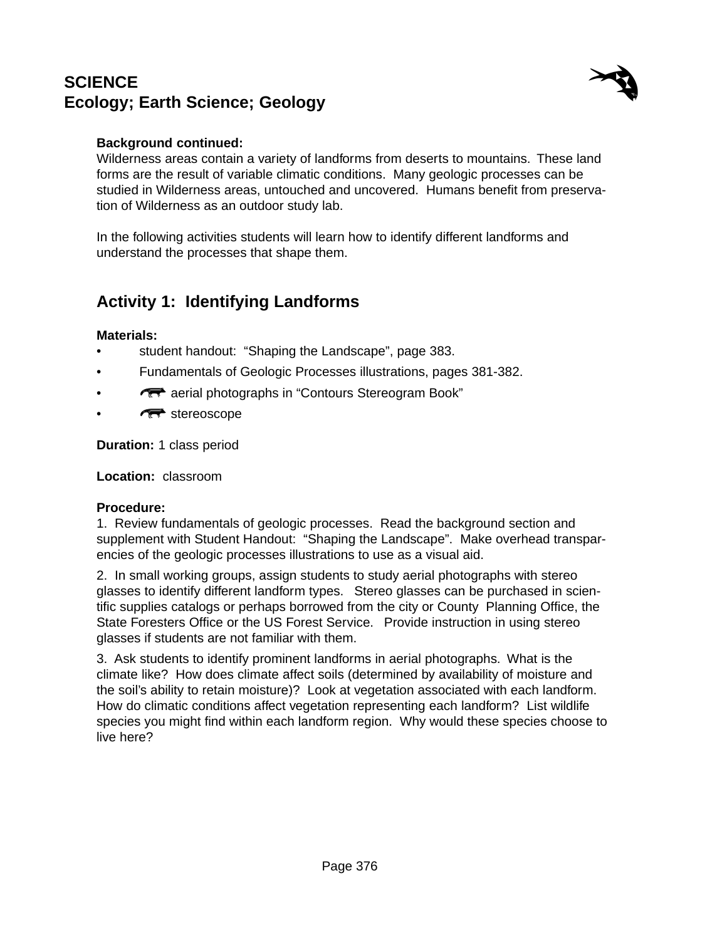

### **Background continued:**

Wilderness areas contain a variety of landforms from deserts to mountains. These land forms are the result of variable climatic conditions. Many geologic processes can be studied in Wilderness areas, untouched and uncovered. Humans benefit from preservation of Wilderness as an outdoor study lab.

In the following activities students will learn how to identify different landforms and understand the processes that shape them.

## **Activity 1: Identifying Landforms**

#### **Materials:**

- student handout: "Shaping the Landscape", page 383.
- Fundamentals of Geologic Processes illustrations, pages 381-382.
- **F** aerial photographs in "Contours Stereogram Book"
- $\sqrt{\mathbb{R}}$  stereoscope

**Duration:** 1 class period

**Location:** classroom

#### **Procedure:**

1. Review fundamentals of geologic processes. Read the background section and supplement with Student Handout: "Shaping the Landscape". Make overhead transparencies of the geologic processes illustrations to use as a visual aid.

2. In small working groups, assign students to study aerial photographs with stereo glasses to identify different landform types. Stereo glasses can be purchased in scientific supplies catalogs or perhaps borrowed from the city or County Planning Office, the State Foresters Office or the US Forest Service. Provide instruction in using stereo glasses if students are not familiar with them.

3. Ask students to identify prominent landforms in aerial photographs. What is the climate like? How does climate affect soils (determined by availability of moisture and the soil's ability to retain moisture)? Look at vegetation associated with each landform. How do climatic conditions affect vegetation representing each landform? List wildlife species you might find within each landform region. Why would these species choose to live here?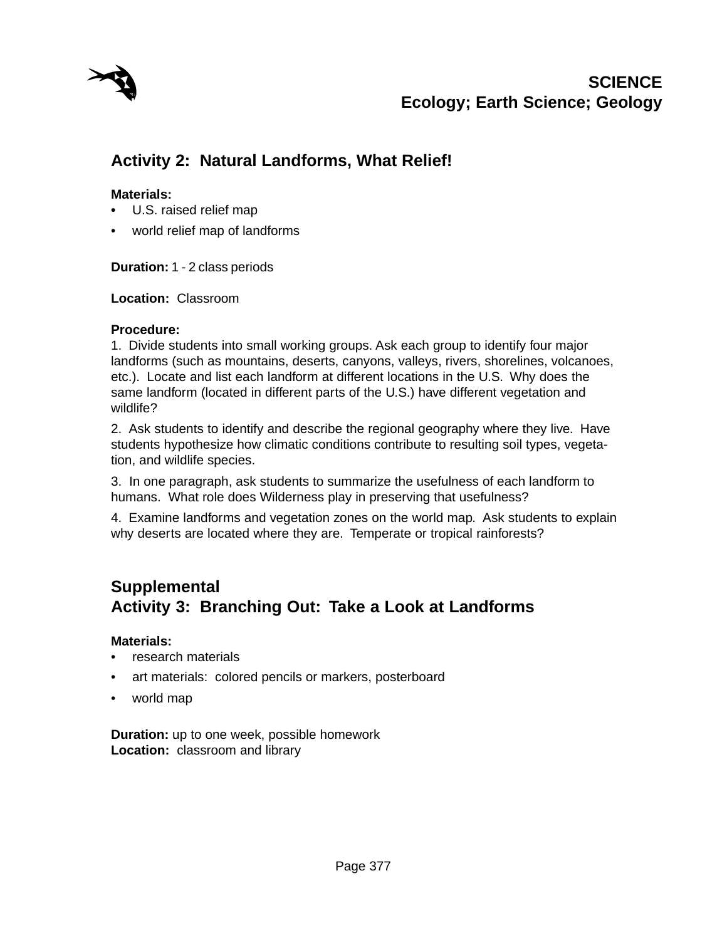

# **Activity 2: Natural Landforms, What Relief!**

### **Materials:**

- **•** U.S. raised relief map
- world relief map of landforms

**Duration:** 1 - 2 class periods

**Location:** Classroom

#### **Procedure:**

1. Divide students into small working groups. Ask each group to identify four major landforms (such as mountains, deserts, canyons, valleys, rivers, shorelines, volcanoes, etc.). Locate and list each landform at different locations in the U.S. Why does the same landform (located in different parts of the U.S.) have different vegetation and wildlife?

2. Ask students to identify and describe the regional geography where they live. Have students hypothesize how climatic conditions contribute to resulting soil types, vegetation, and wildlife species.

3. In one paragraph, ask students to summarize the usefulness of each landform to humans. What role does Wilderness play in preserving that usefulness?

4. Examine landforms and vegetation zones on the world map. Ask students to explain why deserts are located where they are. Temperate or tropical rainforests?

## **Supplemental Activity 3: Branching Out: Take a Look at Landforms**

#### **Materials:**

- research materials
- art materials: colored pencils or markers, posterboard
- world map

**Duration:** up to one week, possible homework **Location:** classroom and library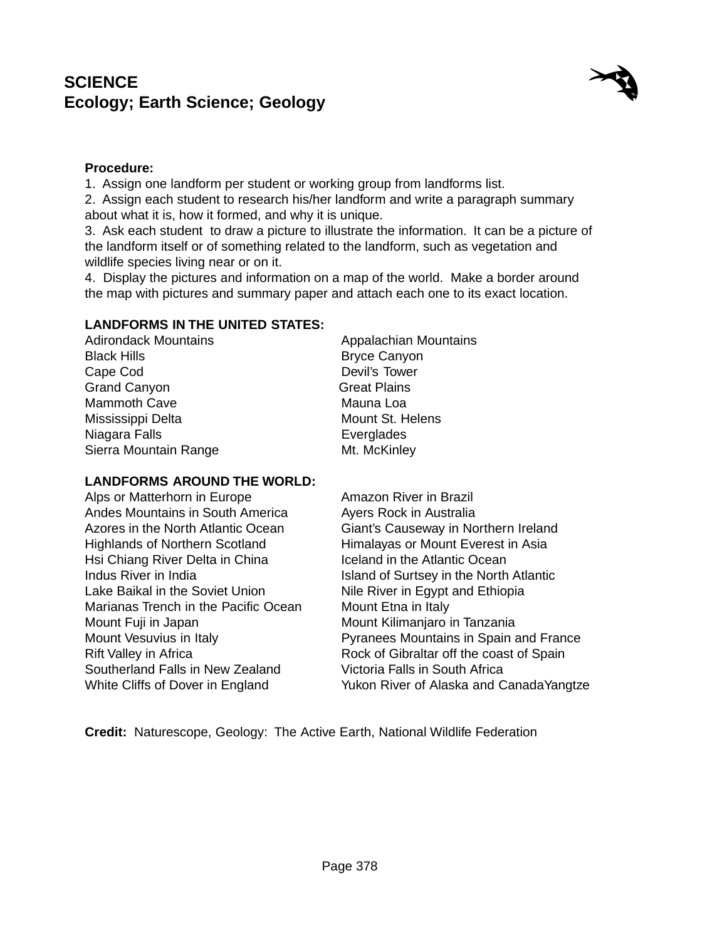

#### **Procedure:**

1. Assign one landform per student or working group from landforms list.

2. Assign each student to research his/her landform and write a paragraph summary about what it is, how it formed, and why it is unique.

3. Ask each student to draw a picture to illustrate the information. It can be a picture of the landform itself or of something related to the landform, such as vegetation and wildlife species living near or on it.

4. Display the pictures and information on a map of the world. Make a border around the map with pictures and summary paper and attach each one to its exact location.

#### **LANDFORMS IN THE UNITED STATES:**

| <b>Adirondack Mountains</b> | <b>Appalachian Mountains</b> |
|-----------------------------|------------------------------|
| Black Hills                 | <b>Bryce Canyon</b>          |
| Cape Cod                    | Devil's Tower                |
| <b>Grand Canyon</b>         | <b>Great Plains</b>          |
| Mammoth Cave                | Mauna Loa                    |
| Mississippi Delta           | Mount St. Helens             |
| Niagara Falls               | Everglades                   |
| Sierra Mountain Range       | Mt. McKinley                 |
|                             |                              |

#### **LANDFORMS AROUND THE WORLD:**

Alps or Matterhorn in Europe **Amazon River in Brazil** Andes Mountains in South America **Ayers Rock in Australia** Highlands of Northern Scotland Himalayas or Mount Everest in Asia Hsi Chiang River Delta in China Iceland in the Atlantic Ocean Lake Baikal in the Soviet Union Nile River in Egypt and Ethiopia Marianas Trench in the Pacific Ocean Mount Etna in Italy Mount Fuji in Japan Mount Kilimanjaro in Tanzania Southerland Falls in New Zealand Victoria Falls in South Africa

Azores in the North Atlantic Ocean Giant's Causeway in Northern Ireland Indus River in India **Internal Island of Surtsey in the North Atlantic** Mount Vesuvius in Italy Pyranees Mountains in Spain and France Rift Valley in Africa **Rock of Gibraltar off the coast of Spain** White Cliffs of Dover in England Yukon River of Alaska and CanadaYangtze

**Credit:** Naturescope, Geology: The Active Earth, National Wildlife Federation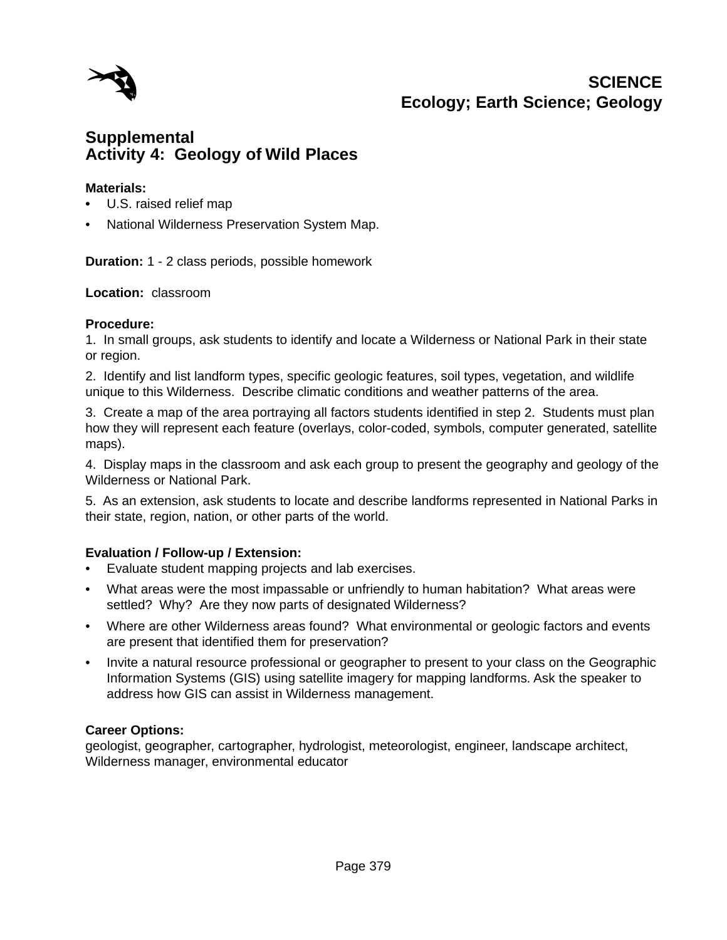

## **Activity 4: Geology of Wild Places Supplemental**

#### **Materials:**

- **•** U.S. raised relief map
- National Wilderness Preservation System Map.

**Duration:** 1 - 2 class periods, possible homework

#### **Location:** classroom

#### **Procedure:**

1. In small groups, ask students to identify and locate a Wilderness or National Park in their state or region.

2. Identify and list landform types, specific geologic features, soil types, vegetation, and wildlife unique to this Wilderness. Describe climatic conditions and weather patterns of the area.

3. Create a map of the area portraying all factors students identified in step 2. Students must plan how they will represent each feature (overlays, color-coded, symbols, computer generated, satellite maps).

4. Display maps in the classroom and ask each group to present the geography and geology of the Wilderness or National Park.

5. As an extension, ask students to locate and describe landforms represented in National Parks in their state, region, nation, or other parts of the world.

#### **Evaluation / Follow-up / Extension:**

- Evaluate student mapping projects and lab exercises.
- What areas were the most impassable or unfriendly to human habitation? What areas were settled? Why? Are they now parts of designated Wilderness?
- Where are other Wilderness areas found? What environmental or geologic factors and events are present that identified them for preservation?
- Invite a natural resource professional or geographer to present to your class on the Geographic Information Systems (GIS) using satellite imagery for mapping landforms. Ask the speaker to address how GIS can assist in Wilderness management.

#### **Career Options:**

geologist, geographer, cartographer, hydrologist, meteorologist, engineer, landscape architect, Wilderness manager, environmental educator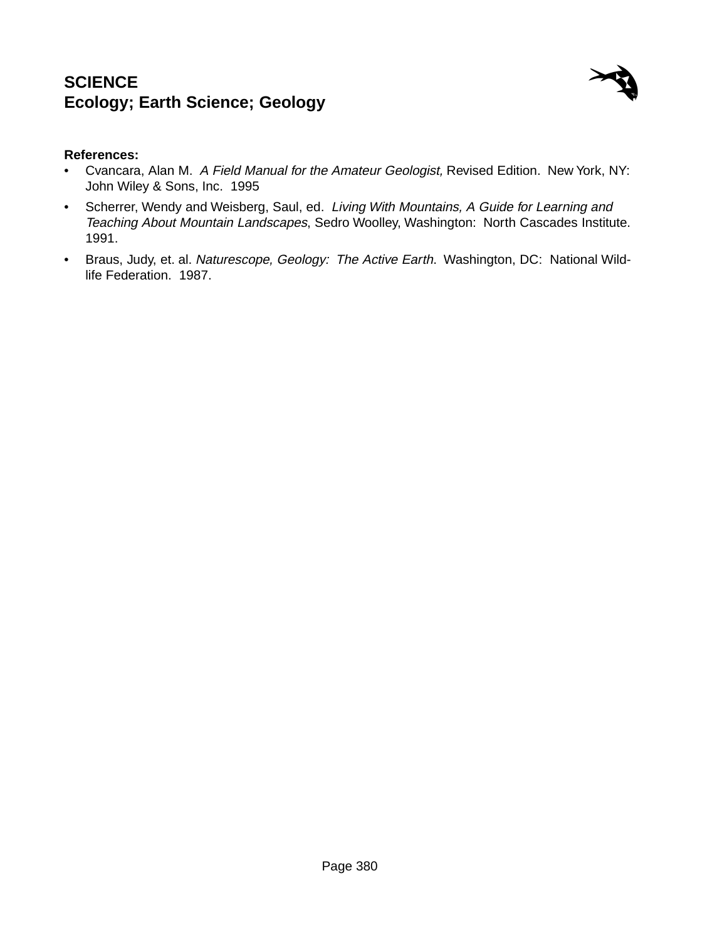

### **References:**

- Cvancara, Alan M. A Field Manual for the Amateur Geologist, Revised Edition. New York, NY: John Wiley & Sons, Inc. 1995
- Scherrer, Wendy and Weisberg, Saul, ed. Living With Mountains, A Guide for Learning and Teaching About Mountain Landscapes, Sedro Woolley, Washington: North Cascades Institute. 1991.
- Braus, Judy, et. al. Naturescope, Geology: The Active Earth. Washington, DC: National Wildlife Federation. 1987.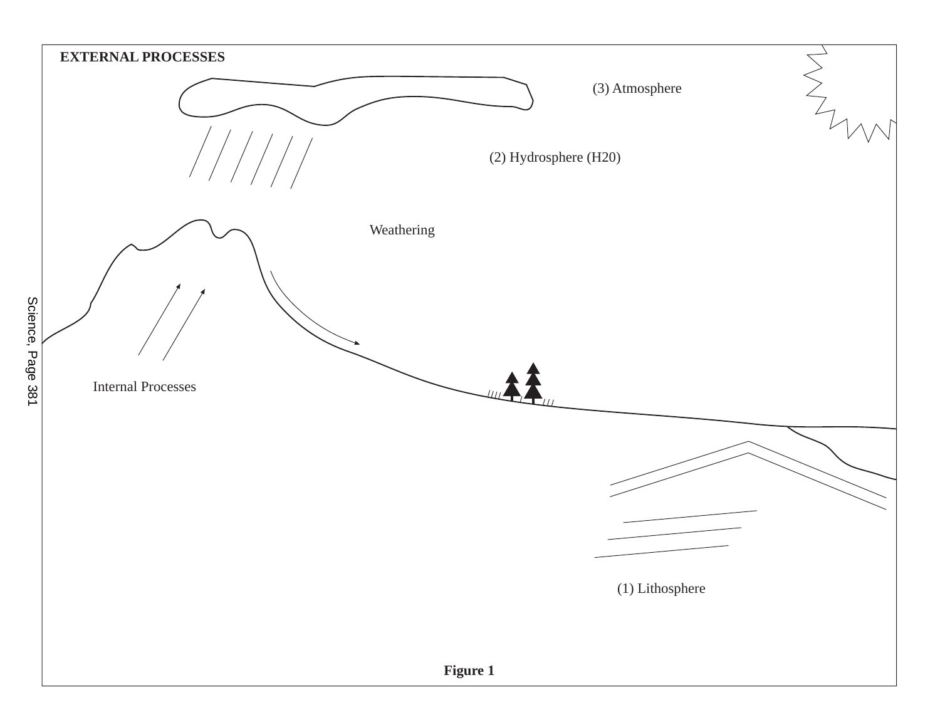

Science, Page 381 Science, Page 381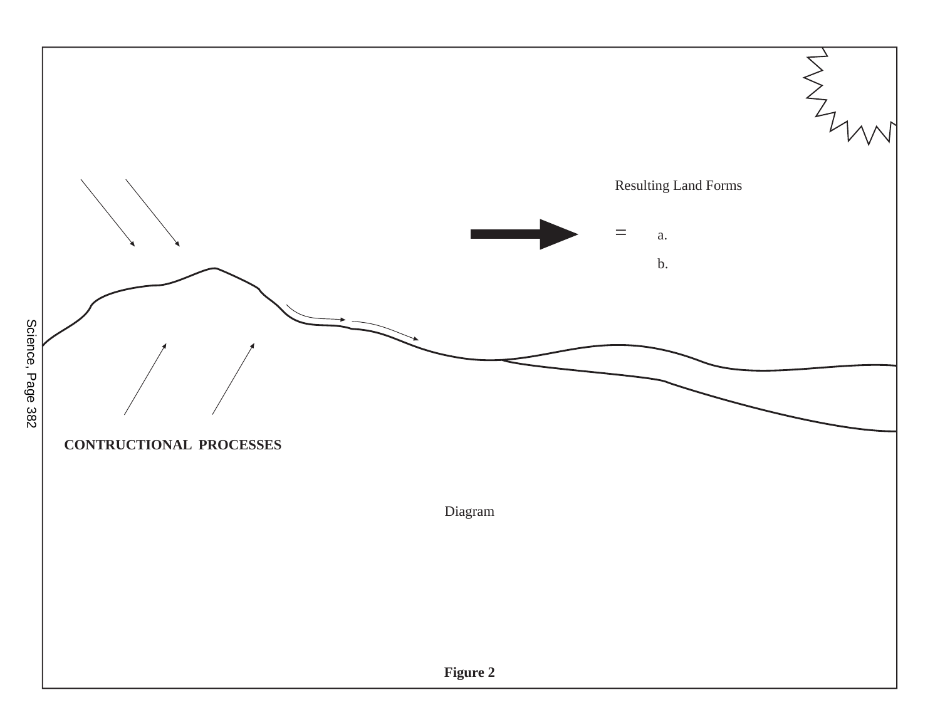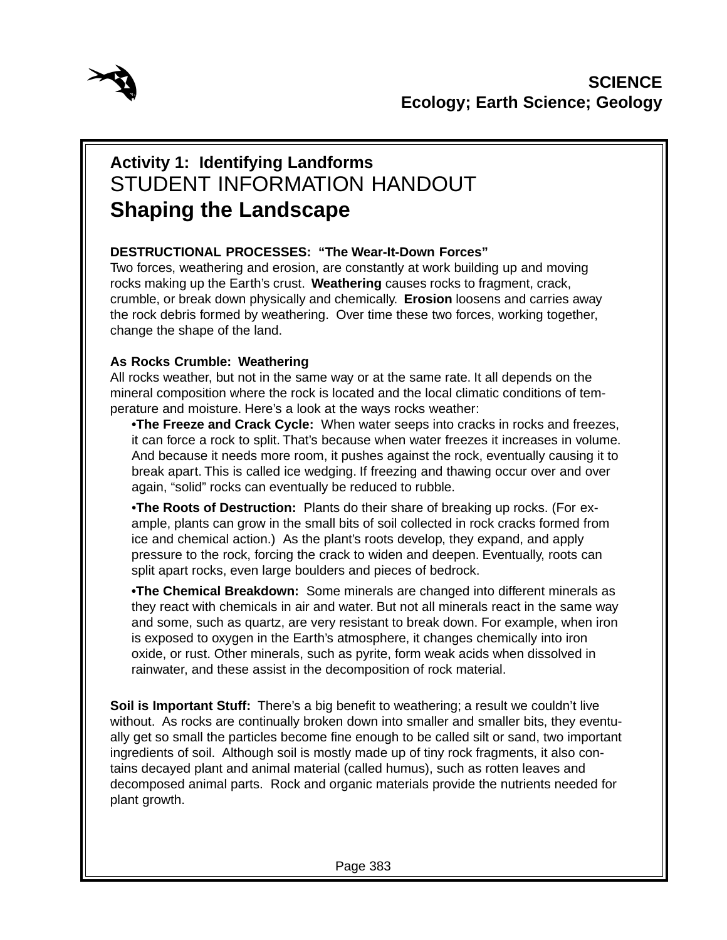

# **Activity 1: Identifying Landforms** STUDENT INFORMATION HANDOUT **Shaping the Landscape**

## **DESTRUCTIONAL PROCESSES: "The Wear-It-Down Forces"**

Two forces, weathering and erosion, are constantly at work building up and moving rocks making up the Earth's crust. **Weathering** causes rocks to fragment, crack, crumble, or break down physically and chemically. **Erosion** loosens and carries away the rock debris formed by weathering. Over time these two forces, working together, change the shape of the land.

## **As Rocks Crumble: Weathering**

All rocks weather, but not in the same way or at the same rate. It all depends on the mineral composition where the rock is located and the local climatic conditions of temperature and moisture. Here's a look at the ways rocks weather:

**•The Freeze and Crack Cycle:** When water seeps into cracks in rocks and freezes, it can force a rock to split. That's because when water freezes it increases in volume. And because it needs more room, it pushes against the rock, eventually causing it to break apart. This is called ice wedging. If freezing and thawing occur over and over again, "solid" rocks can eventually be reduced to rubble.

•**The Roots of Destruction:** Plants do their share of breaking up rocks. (For example, plants can grow in the small bits of soil collected in rock cracks formed from ice and chemical action.) As the plant's roots develop, they expand, and apply pressure to the rock, forcing the crack to widen and deepen. Eventually, roots can split apart rocks, even large boulders and pieces of bedrock.

**•The Chemical Breakdown:** Some minerals are changed into different minerals as they react with chemicals in air and water. But not all minerals react in the same way and some, such as quartz, are very resistant to break down. For example, when iron is exposed to oxygen in the Earth's atmosphere, it changes chemically into iron oxide, or rust. Other minerals, such as pyrite, form weak acids when dissolved in rainwater, and these assist in the decomposition of rock material.

**Soil is Important Stuff:** There's a big benefit to weathering; a result we couldn't live without. As rocks are continually broken down into smaller and smaller bits, they eventually get so small the particles become fine enough to be called silt or sand, two important ingredients of soil. Although soil is mostly made up of tiny rock fragments, it also contains decayed plant and animal material (called humus), such as rotten leaves and decomposed animal parts. Rock and organic materials provide the nutrients needed for plant growth.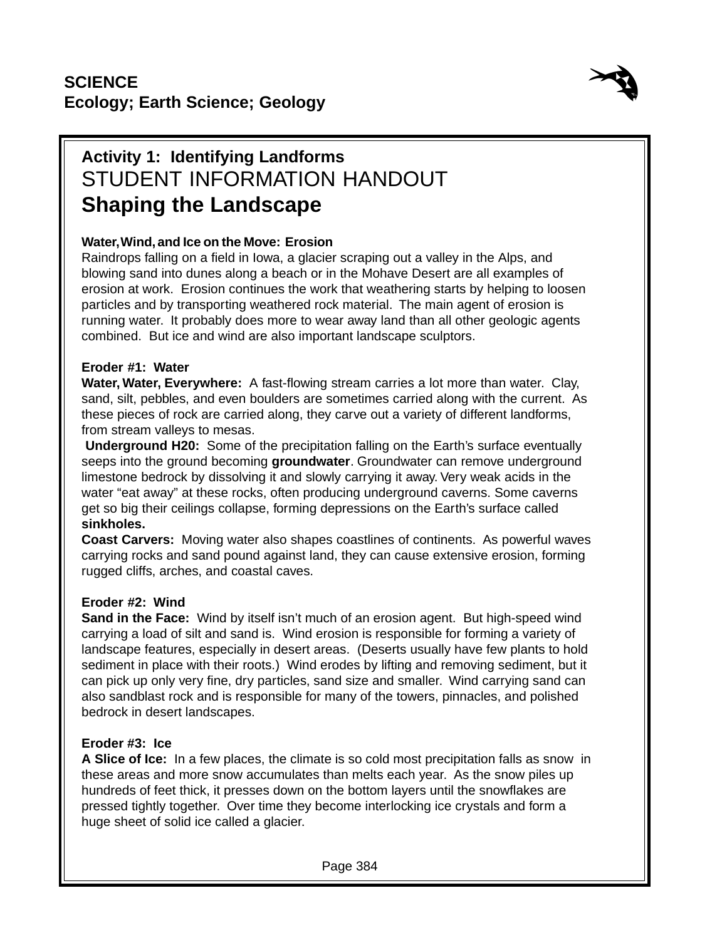

# **Activity 1: Identifying Landforms** STUDENT INFORMATION HANDOUT **Shaping the Landscape**

## **Water, Wind, and Ice on the Move: Erosion**

Raindrops falling on a field in Iowa, a glacier scraping out a valley in the Alps, and blowing sand into dunes along a beach or in the Mohave Desert are all examples of erosion at work. Erosion continues the work that weathering starts by helping to loosen particles and by transporting weathered rock material. The main agent of erosion is running water. It probably does more to wear away land than all other geologic agents combined. But ice and wind are also important landscape sculptors.

### **Eroder #1: Water**

**Water, Water, Everywhere:** A fast-flowing stream carries a lot more than water. Clay, sand, silt, pebbles, and even boulders are sometimes carried along with the current. As these pieces of rock are carried along, they carve out a variety of different landforms, from stream valleys to mesas.

**Underground H20:** Some of the precipitation falling on the Earth's surface eventually seeps into the ground becoming **groundwater**. Groundwater can remove underground limestone bedrock by dissolving it and slowly carrying it away. Very weak acids in the water "eat away" at these rocks, often producing underground caverns. Some caverns get so big their ceilings collapse, forming depressions on the Earth's surface called **sinkholes.**

**Coast Carvers:** Moving water also shapes coastlines of continents. As powerful waves carrying rocks and sand pound against land, they can cause extensive erosion, forming rugged cliffs, arches, and coastal caves.

## **Eroder #2: Wind**

**Sand in the Face:** Wind by itself isn't much of an erosion agent. But high-speed wind carrying a load of silt and sand is. Wind erosion is responsible for forming a variety of landscape features, especially in desert areas. (Deserts usually have few plants to hold sediment in place with their roots.) Wind erodes by lifting and removing sediment, but it can pick up only very fine, dry particles, sand size and smaller. Wind carrying sand can also sandblast rock and is responsible for many of the towers, pinnacles, and polished bedrock in desert landscapes.

## **Eroder #3: Ice**

**A Slice of Ice:** In a few places, the climate is so cold most precipitation falls as snow in these areas and more snow accumulates than melts each year. As the snow piles up hundreds of feet thick, it presses down on the bottom layers until the snowflakes are pressed tightly together. Over time they become interlocking ice crystals and form a huge sheet of solid ice called a glacier.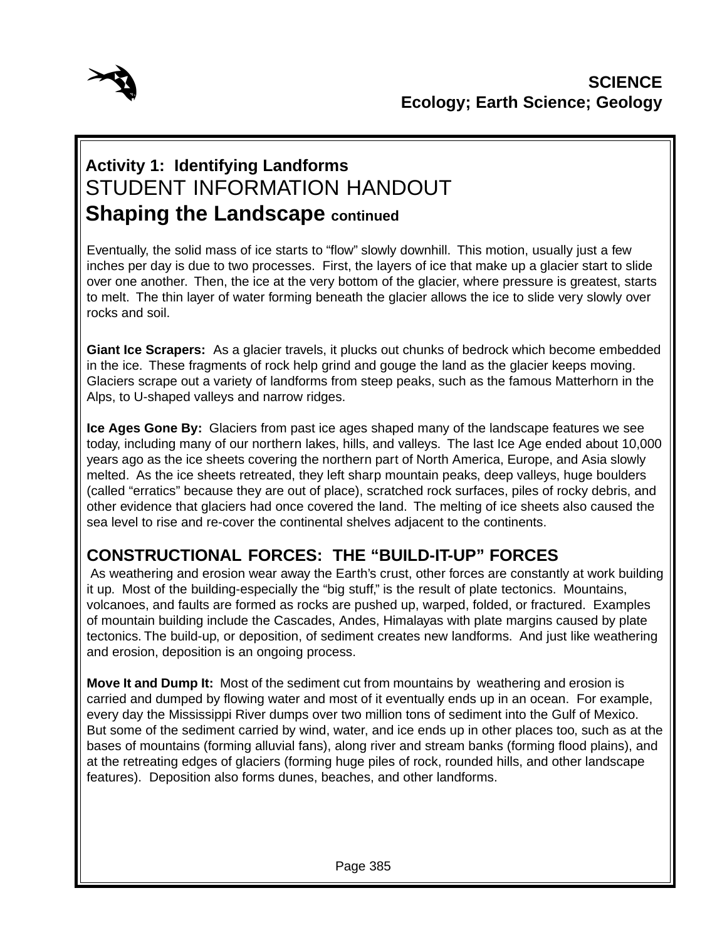

# **Activity 1: Identifying Landforms** STUDENT INFORMATION HANDOUT **Shaping the Landscape continued**

Eventually, the solid mass of ice starts to "flow" slowly downhill. This motion, usually just a few inches per day is due to two processes. First, the layers of ice that make up a glacier start to slide over one another. Then, the ice at the very bottom of the glacier, where pressure is greatest, starts to melt. The thin layer of water forming beneath the glacier allows the ice to slide very slowly over rocks and soil.

**Giant Ice Scrapers:** As a glacier travels, it plucks out chunks of bedrock which become embedded in the ice. These fragments of rock help grind and gouge the land as the glacier keeps moving. Glaciers scrape out a variety of landforms from steep peaks, such as the famous Matterhorn in the Alps, to U-shaped valleys and narrow ridges.

**Ice Ages Gone By:** Glaciers from past ice ages shaped many of the landscape features we see today, including many of our northern lakes, hills, and valleys. The last Ice Age ended about 10,000 years ago as the ice sheets covering the northern part of North America, Europe, and Asia slowly melted. As the ice sheets retreated, they left sharp mountain peaks, deep valleys, huge boulders (called "erratics" because they are out of place), scratched rock surfaces, piles of rocky debris, and other evidence that glaciers had once covered the land. The melting of ice sheets also caused the sea level to rise and re-cover the continental shelves adjacent to the continents.

# **CONSTRUCTIONAL FORCES: THE "BUILD-IT-UP" FORCES**

 As weathering and erosion wear away the Earth's crust, other forces are constantly at work building it up. Most of the building-especially the "big stuff," is the result of plate tectonics. Mountains, volcanoes, and faults are formed as rocks are pushed up, warped, folded, or fractured. Examples of mountain building include the Cascades, Andes, Himalayas with plate margins caused by plate tectonics. The build-up, or deposition, of sediment creates new landforms. And just like weathering and erosion, deposition is an ongoing process.

**Move It and Dump It:** Most of the sediment cut from mountains by weathering and erosion is carried and dumped by flowing water and most of it eventually ends up in an ocean. For example, every day the Mississippi River dumps over two million tons of sediment into the Gulf of Mexico. But some of the sediment carried by wind, water, and ice ends up in other places too, such as at the bases of mountains (forming alluvial fans), along river and stream banks (forming flood plains), and at the retreating edges of glaciers (forming huge piles of rock, rounded hills, and other landscape features). Deposition also forms dunes, beaches, and other landforms.